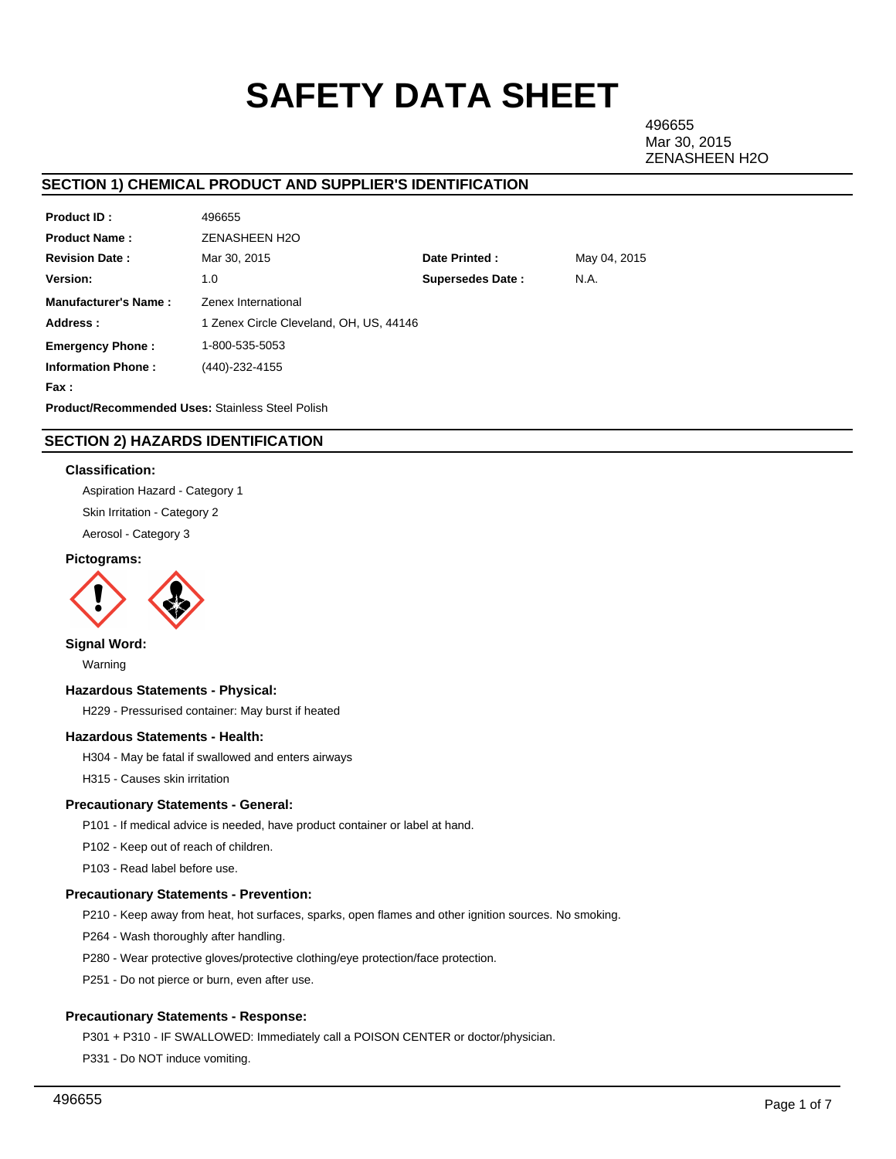# **SAFETY DATA SHEET**

496655 Mar 30, 2015 ZENASHEEN H2O

# **SECTION 1) CHEMICAL PRODUCT AND SUPPLIER'S IDENTIFICATION**

| <b>Product ID:</b>                                      | 496655                                  |                         |              |  |  |  |
|---------------------------------------------------------|-----------------------------------------|-------------------------|--------------|--|--|--|
| <b>Product Name:</b>                                    | <b>ZENASHEEN H2O</b>                    |                         |              |  |  |  |
| <b>Revision Date:</b>                                   | Mar 30, 2015                            | Date Printed:           | May 04, 2015 |  |  |  |
| <b>Version:</b>                                         | 1.0                                     | <b>Supersedes Date:</b> | N.A.         |  |  |  |
| <b>Manufacturer's Name:</b>                             | Zenex International                     |                         |              |  |  |  |
| Address:                                                | 1 Zenex Circle Cleveland, OH, US, 44146 |                         |              |  |  |  |
| <b>Emergency Phone:</b>                                 | 1-800-535-5053                          |                         |              |  |  |  |
| <b>Information Phone:</b>                               | (440)-232-4155                          |                         |              |  |  |  |
| Fax :                                                   |                                         |                         |              |  |  |  |
| <b>Product/Recommended Uses: Stainless Steel Polish</b> |                                         |                         |              |  |  |  |

# **SECTION 2) HAZARDS IDENTIFICATION**

## **Classification:**

Aspiration Hazard - Category 1 Skin Irritation - Category 2 Aerosol - Category 3

#### **Pictograms:**



## **Signal Word:**

Warning

## **Hazardous Statements - Physical:**

H229 - Pressurised container: May burst if heated

### **Hazardous Statements - Health:**

H304 - May be fatal if swallowed and enters airways

H315 - Causes skin irritation

## **Precautionary Statements - General:**

P101 - If medical advice is needed, have product container or label at hand.

P102 - Keep out of reach of children.

P103 - Read label before use.

#### **Precautionary Statements - Prevention:**

P210 - Keep away from heat, hot surfaces, sparks, open flames and other ignition sources. No smoking.

P264 - Wash thoroughly after handling.

P280 - Wear protective gloves/protective clothing/eye protection/face protection.

P251 - Do not pierce or burn, even after use.

### **Precautionary Statements - Response:**

P301 + P310 - IF SWALLOWED: Immediately call a POISON CENTER or doctor/physician.

P331 - Do NOT induce vomiting.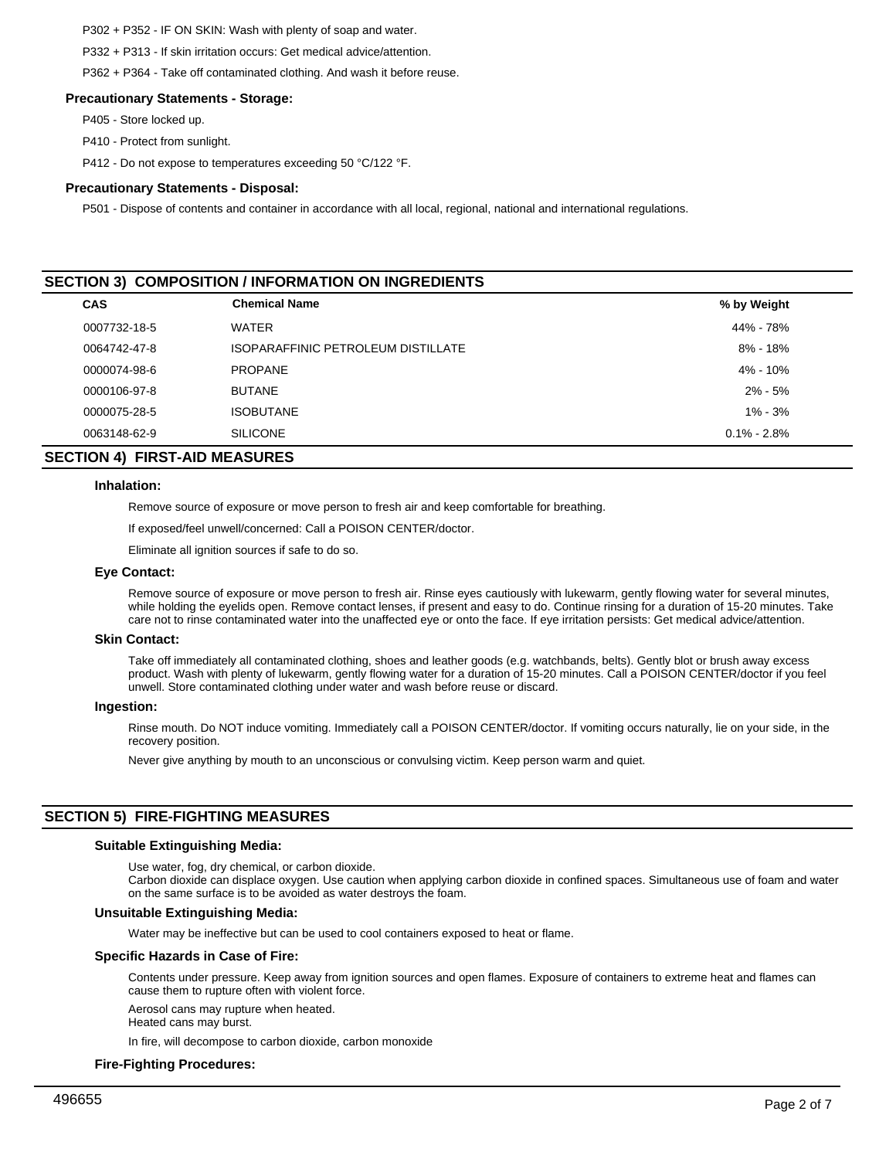P302 + P352 - IF ON SKIN: Wash with plenty of soap and water.

P332 + P313 - If skin irritation occurs: Get medical advice/attention.

P362 + P364 - Take off contaminated clothing. And wash it before reuse.

#### **Precautionary Statements - Storage:**

P405 - Store locked up.

- P410 Protect from sunlight.
- P412 Do not expose to temperatures exceeding 50 °C/122 °F.

#### **Precautionary Statements - Disposal:**

P501 - Dispose of contents and container in accordance with all local, regional, national and international regulations.

# **SECTION 3) COMPOSITION / INFORMATION ON INGREDIENTS**

| CAS          | <b>Chemical Name</b>               | % by Weight     |  |
|--------------|------------------------------------|-----------------|--|
| 0007732-18-5 | <b>WATER</b>                       | 44% - 78%       |  |
| 0064742-47-8 | ISOPARAFFINIC PETROLEUM DISTILLATE | $8\% - 18\%$    |  |
| 0000074-98-6 | <b>PROPANE</b>                     | 4% - 10%        |  |
| 0000106-97-8 | <b>BUTANE</b>                      | $2\% - 5\%$     |  |
| 0000075-28-5 | <b>ISOBUTANE</b>                   | $1\% - 3\%$     |  |
| 0063148-62-9 | <b>SILICONE</b>                    | $0.1\% - 2.8\%$ |  |

# **SECTION 4) FIRST-AID MEASURES**

#### **Inhalation:**

Remove source of exposure or move person to fresh air and keep comfortable for breathing.

If exposed/feel unwell/concerned: Call a POISON CENTER/doctor.

Eliminate all ignition sources if safe to do so.

#### **Eye Contact:**

Remove source of exposure or move person to fresh air. Rinse eyes cautiously with lukewarm, gently flowing water for several minutes, while holding the eyelids open. Remove contact lenses, if present and easy to do. Continue rinsing for a duration of 15-20 minutes. Take care not to rinse contaminated water into the unaffected eye or onto the face. If eye irritation persists: Get medical advice/attention.

#### **Skin Contact:**

Take off immediately all contaminated clothing, shoes and leather goods (e.g. watchbands, belts). Gently blot or brush away excess product. Wash with plenty of lukewarm, gently flowing water for a duration of 15-20 minutes. Call a POISON CENTER/doctor if you feel unwell. Store contaminated clothing under water and wash before reuse or discard.

#### **Ingestion:**

Rinse mouth. Do NOT induce vomiting. Immediately call a POISON CENTER/doctor. If vomiting occurs naturally, lie on your side, in the recovery position.

Never give anything by mouth to an unconscious or convulsing victim. Keep person warm and quiet.

# **SECTION 5) FIRE-FIGHTING MEASURES**

#### **Suitable Extinguishing Media:**

Use water, fog, dry chemical, or carbon dioxide.

Carbon dioxide can displace oxygen. Use caution when applying carbon dioxide in confined spaces. Simultaneous use of foam and water on the same surface is to be avoided as water destroys the foam.

#### **Unsuitable Extinguishing Media:**

Water may be ineffective but can be used to cool containers exposed to heat or flame.

## **Specific Hazards in Case of Fire:**

Contents under pressure. Keep away from ignition sources and open flames. Exposure of containers to extreme heat and flames can cause them to rupture often with violent force.

Aerosol cans may rupture when heated.

Heated cans may burst.

In fire, will decompose to carbon dioxide, carbon monoxide

#### **Fire-Fighting Procedures:**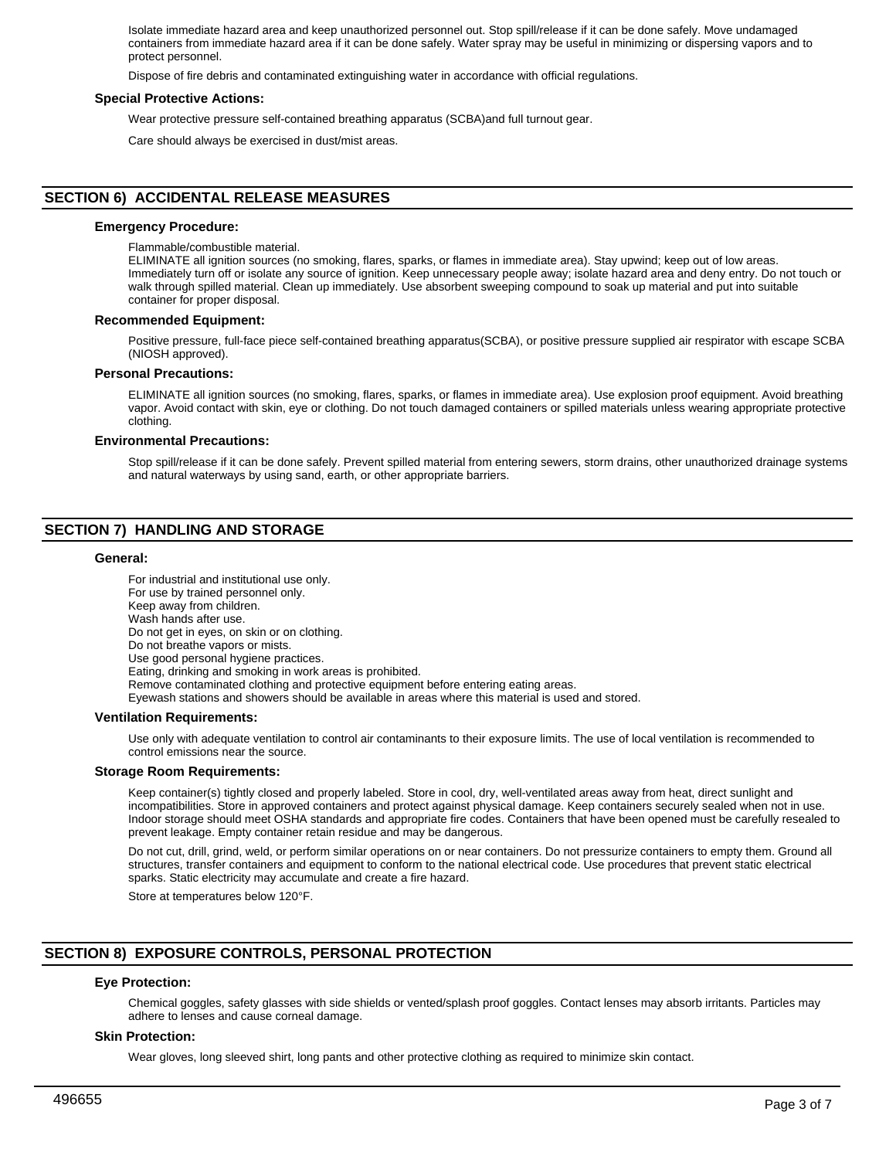Isolate immediate hazard area and keep unauthorized personnel out. Stop spill/release if it can be done safely. Move undamaged containers from immediate hazard area if it can be done safely. Water spray may be useful in minimizing or dispersing vapors and to protect personnel.

Dispose of fire debris and contaminated extinguishing water in accordance with official regulations.

#### **Special Protective Actions:**

Wear protective pressure self-contained breathing apparatus (SCBA)and full turnout gear.

Care should always be exercised in dust/mist areas.

# **SECTION 6) ACCIDENTAL RELEASE MEASURES**

#### **Emergency Procedure:**

Flammable/combustible material.

ELIMINATE all ignition sources (no smoking, flares, sparks, or flames in immediate area). Stay upwind; keep out of low areas. Immediately turn off or isolate any source of ignition. Keep unnecessary people away; isolate hazard area and deny entry. Do not touch or walk through spilled material. Clean up immediately. Use absorbent sweeping compound to soak up material and put into suitable container for proper disposal.

#### **Recommended Equipment:**

Positive pressure, full-face piece self-contained breathing apparatus(SCBA), or positive pressure supplied air respirator with escape SCBA (NIOSH approved).

#### **Personal Precautions:**

ELIMINATE all ignition sources (no smoking, flares, sparks, or flames in immediate area). Use explosion proof equipment. Avoid breathing vapor. Avoid contact with skin, eye or clothing. Do not touch damaged containers or spilled materials unless wearing appropriate protective clothing.

#### **Environmental Precautions:**

Stop spill/release if it can be done safely. Prevent spilled material from entering sewers, storm drains, other unauthorized drainage systems and natural waterways by using sand, earth, or other appropriate barriers.

# **SECTION 7) HANDLING AND STORAGE**

#### **General:**

For industrial and institutional use only. For use by trained personnel only. Keep away from children. Wash hands after use. Do not get in eyes, on skin or on clothing. Do not breathe vapors or mists. Use good personal hygiene practices. Eating, drinking and smoking in work areas is prohibited. Remove contaminated clothing and protective equipment before entering eating areas. Eyewash stations and showers should be available in areas where this material is used and stored.

#### **Ventilation Requirements:**

Use only with adequate ventilation to control air contaminants to their exposure limits. The use of local ventilation is recommended to control emissions near the source.

#### **Storage Room Requirements:**

Keep container(s) tightly closed and properly labeled. Store in cool, dry, well-ventilated areas away from heat, direct sunlight and incompatibilities. Store in approved containers and protect against physical damage. Keep containers securely sealed when not in use. Indoor storage should meet OSHA standards and appropriate fire codes. Containers that have been opened must be carefully resealed to prevent leakage. Empty container retain residue and may be dangerous.

Do not cut, drill, grind, weld, or perform similar operations on or near containers. Do not pressurize containers to empty them. Ground all structures, transfer containers and equipment to conform to the national electrical code. Use procedures that prevent static electrical sparks. Static electricity may accumulate and create a fire hazard.

Store at temperatures below 120°F.

# **SECTION 8) EXPOSURE CONTROLS, PERSONAL PROTECTION**

#### **Eye Protection:**

Chemical goggles, safety glasses with side shields or vented/splash proof goggles. Contact lenses may absorb irritants. Particles may adhere to lenses and cause corneal damage.

#### **Skin Protection:**

Wear gloves, long sleeved shirt, long pants and other protective clothing as required to minimize skin contact.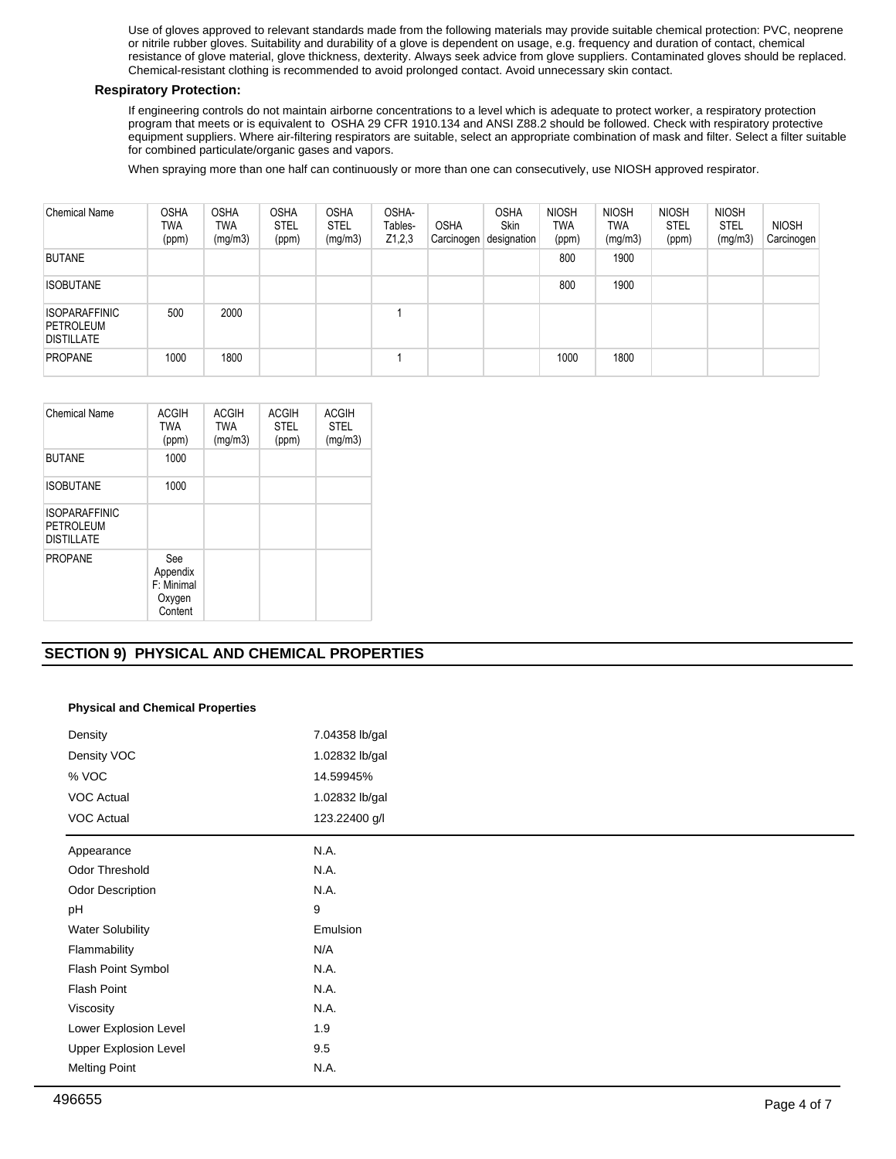Use of gloves approved to relevant standards made from the following materials may provide suitable chemical protection: PVC, neoprene or nitrile rubber gloves. Suitability and durability of a glove is dependent on usage, e.g. frequency and duration of contact, chemical resistance of glove material, glove thickness, dexterity. Always seek advice from glove suppliers. Contaminated gloves should be replaced. Chemical-resistant clothing is recommended to avoid prolonged contact. Avoid unnecessary skin contact.

## **Respiratory Protection:**

If engineering controls do not maintain airborne concentrations to a level which is adequate to protect worker, a respiratory protection program that meets or is equivalent to OSHA 29 CFR 1910.134 and ANSI Z88.2 should be followed. Check with respiratory protective equipment suppliers. Where air-filtering respirators are suitable, select an appropriate combination of mask and filter. Select a filter suitable for combined particulate/organic gases and vapors.

When spraying more than one half can continuously or more than one can consecutively, use NIOSH approved respirator.

| <b>Chemical Name</b>                                   | <b>OSHA</b><br>TWA<br>(ppm) | <b>OSHA</b><br>TWA<br>(mg/m3) | <b>OSHA</b><br><b>STEL</b><br>(ppm) | <b>OSHA</b><br><b>STEL</b><br>(mg/m3) | OSHA-<br>Tables-<br>Z1,2,3 | <b>OSHA</b> | <b>OSHA</b><br><b>Skin</b><br>Carcinogen designation | <b>NIOSH</b><br><b>TWA</b><br>(ppm) | <b>NIOSH</b><br>TWA<br>(mg/m3) | <b>NIOSH</b><br><b>STEL</b><br>(ppm) | <b>NIOSH</b><br><b>STEL</b><br>(mg/m3) | <b>NIOSH</b><br>Carcinogen |
|--------------------------------------------------------|-----------------------------|-------------------------------|-------------------------------------|---------------------------------------|----------------------------|-------------|------------------------------------------------------|-------------------------------------|--------------------------------|--------------------------------------|----------------------------------------|----------------------------|
| <b>BUTANE</b>                                          |                             |                               |                                     |                                       |                            |             |                                                      | 800                                 | 1900                           |                                      |                                        |                            |
| <b>ISOBUTANE</b>                                       |                             |                               |                                     |                                       |                            |             |                                                      | 800                                 | 1900                           |                                      |                                        |                            |
| <b>ISOPARAFFINIC</b><br>PETROLEUM<br><b>DISTILLATE</b> | 500                         | 2000                          |                                     |                                       |                            |             |                                                      |                                     |                                |                                      |                                        |                            |
| <b>PROPANE</b>                                         | 1000                        | 1800                          |                                     |                                       |                            |             |                                                      | 1000                                | 1800                           |                                      |                                        |                            |

| Chemical Name                                          | <b>ACGIH</b><br><b>TWA</b><br>(ppm)                | <b>ACGIH</b><br><b>TWA</b><br>(mg/m3) | <b>ACGIH</b><br><b>STEL</b><br>(ppm) | <b>ACGIH</b><br><b>STEL</b><br>(mg/m3) |
|--------------------------------------------------------|----------------------------------------------------|---------------------------------------|--------------------------------------|----------------------------------------|
| <b>BUTANE</b>                                          | 1000                                               |                                       |                                      |                                        |
| <b>ISOBUTANE</b>                                       | 1000                                               |                                       |                                      |                                        |
| <b>ISOPARAFFINIC</b><br>PETROLEUM<br><b>DISTILLATE</b> |                                                    |                                       |                                      |                                        |
| <b>PROPANE</b>                                         | See<br>Appendix<br>F: Minimal<br>Oxygen<br>Content |                                       |                                      |                                        |

# **SECTION 9) PHYSICAL AND CHEMICAL PROPERTIES**

# **Physical and Chemical Properties**

| Density                      | 7.04358 lb/gal |
|------------------------------|----------------|
| Density VOC                  | 1.02832 lb/gal |
| % VOC                        | 14.59945%      |
| <b>VOC Actual</b>            | 1.02832 lb/gal |
| VOC Actual                   | 123.22400 g/l  |
| Appearance                   | N.A.           |
| Odor Threshold               | N.A.           |
| Odor Description             | N.A.           |
| pH                           | 9              |
| <b>Water Solubility</b>      | Emulsion       |
| Flammability                 | N/A            |
| Flash Point Symbol           | N.A.           |
| Flash Point                  | N.A.           |
| Viscosity                    | N.A.           |
| Lower Explosion Level        | 1.9            |
| <b>Upper Explosion Level</b> | 9.5            |
| <b>Melting Point</b>         | N.A.           |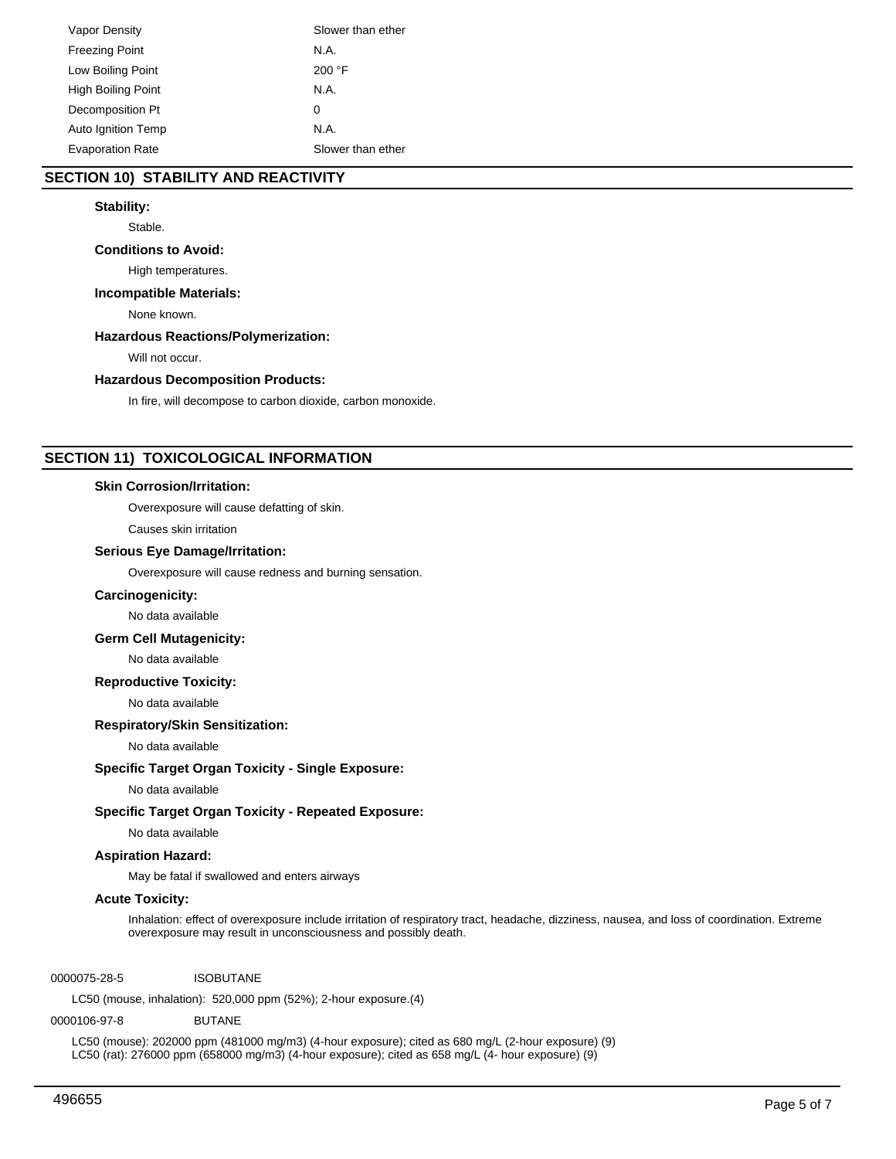| Vapor Density             | Slower than ether |
|---------------------------|-------------------|
| <b>Freezing Point</b>     | N.A.              |
| Low Boiling Point         | 200 °F            |
| <b>High Boiling Point</b> | N.A.              |
| Decomposition Pt          | 0                 |
| <b>Auto Ignition Temp</b> | N.A.              |
| <b>Evaporation Rate</b>   | Slower than ether |

# **SECTION 10) STABILITY AND REACTIVITY**

## **Stability:**

Stable.

## **Conditions to Avoid:**

High temperatures.

## **Incompatible Materials:**

None known.

# **Hazardous Reactions/Polymerization:**

Will not occur.

#### **Hazardous Decomposition Products:**

In fire, will decompose to carbon dioxide, carbon monoxide.

# **SECTION 11) TOXICOLOGICAL INFORMATION**

#### **Skin Corrosion/Irritation:**

Overexposure will cause defatting of skin.

Causes skin irritation

#### **Serious Eye Damage/Irritation:**

Overexposure will cause redness and burning sensation.

## **Carcinogenicity:**

No data available

## **Germ Cell Mutagenicity:**

No data available

## **Reproductive Toxicity:**

No data available

#### **Respiratory/Skin Sensitization:**

No data available

#### **Specific Target Organ Toxicity - Single Exposure:**

No data available

# **Specific Target Organ Toxicity - Repeated Exposure:**

No data available

## **Aspiration Hazard:**

May be fatal if swallowed and enters airways

#### **Acute Toxicity:**

Inhalation: effect of overexposure include irritation of respiratory tract, headache, dizziness, nausea, and loss of coordination. Extreme overexposure may result in unconsciousness and possibly death.

0000075-28-5 ISOBUTANE

LC50 (mouse, inhalation): 520,000 ppm (52%); 2-hour exposure.(4)

#### 0000106-97-8 BUTANE

LC50 (mouse): 202000 ppm (481000 mg/m3) (4-hour exposure); cited as 680 mg/L (2-hour exposure) (9) LC50 (rat): 276000 ppm (658000 mg/m3) (4-hour exposure); cited as 658 mg/L (4- hour exposure) (9)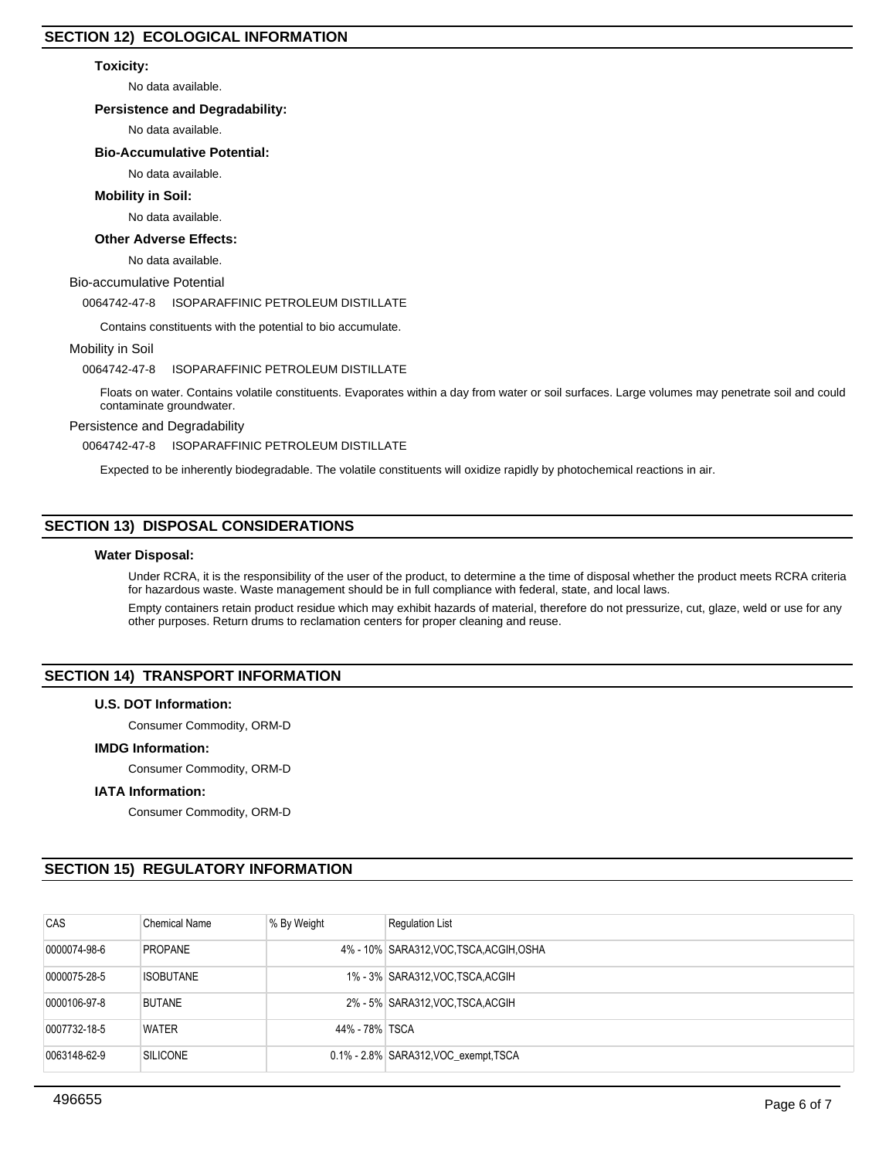## **Toxicity:**

No data available.

## **Persistence and Degradability:**

No data available.

# **Bio-Accumulative Potential:**

No data available.

## **Mobility in Soil:**

#### No data available.

#### **Other Adverse Effects:**

No data available.

#### Bio-accumulative Potential

## 0064742-47-8 ISOPARAFFINIC PETROLEUM DISTILLATE

Contains constituents with the potential to bio accumulate.

### Mobility in Soil

### 0064742-47-8 ISOPARAFFINIC PETROLEUM DISTILLATE

Floats on water. Contains volatile constituents. Evaporates within a day from water or soil surfaces. Large volumes may penetrate soil and could contaminate groundwater.

## Persistence and Degradability

0064742-47-8 ISOPARAFFINIC PETROLEUM DISTILLATE

Expected to be inherently biodegradable. The volatile constituents will oxidize rapidly by photochemical reactions in air.

# **SECTION 13) DISPOSAL CONSIDERATIONS**

#### **Water Disposal:**

Under RCRA, it is the responsibility of the user of the product, to determine a the time of disposal whether the product meets RCRA criteria for hazardous waste. Waste management should be in full compliance with federal, state, and local laws.

Empty containers retain product residue which may exhibit hazards of material, therefore do not pressurize, cut, glaze, weld or use for any other purposes. Return drums to reclamation centers for proper cleaning and reuse.

# **SECTION 14) TRANSPORT INFORMATION**

## **U.S. DOT Information:**

Consumer Commodity, ORM-D

### **IMDG Information:**

Consumer Commodity, ORM-D

### **IATA Information:**

Consumer Commodity, ORM-D

# **SECTION 15) REGULATORY INFORMATION**

| CAS          | <b>Chemical Name</b> | % By Weight    | <b>Regulation List</b>                   |
|--------------|----------------------|----------------|------------------------------------------|
| 0000074-98-6 | <b>PROPANE</b>       |                | 4% - 10% SARA312, VOC, TSCA, ACGIH, OSHA |
| 0000075-28-5 | <b>ISOBUTANE</b>     |                | 1% - 3% SARA312, VOC TSCA, ACGIH         |
| 0000106-97-8 | <b>BUTANE</b>        |                | 2% - 5% SARA312, VOC TSCA, ACGIH         |
| 0007732-18-5 | <b>WATER</b>         | 44% - 78% TSCA |                                          |
| 0063148-62-9 | <b>SILICONE</b>      |                | 0.1% - 2.8% SARA312, VOC exempt TSCA     |